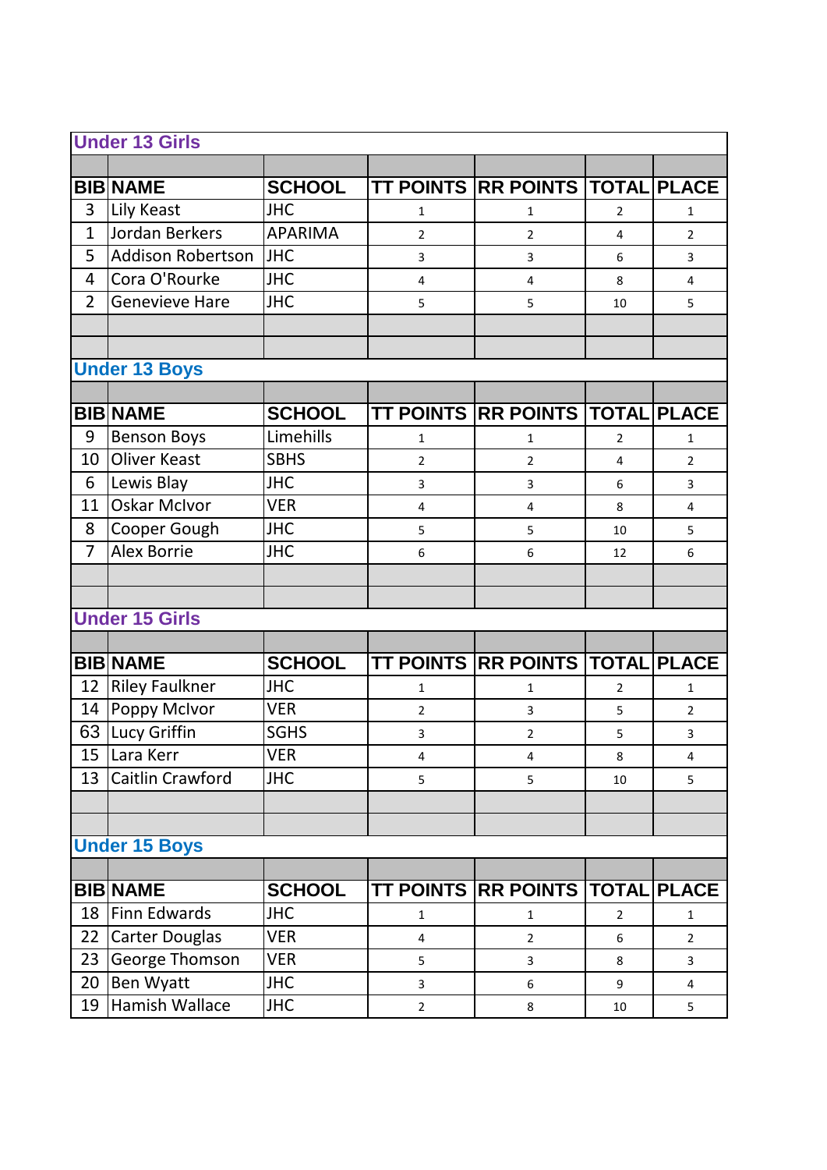|                | <b>Under 13 Girls</b>     |                |                         |                                        |                |                         |  |
|----------------|---------------------------|----------------|-------------------------|----------------------------------------|----------------|-------------------------|--|
|                |                           |                |                         |                                        |                |                         |  |
|                | <b>BIB NAME</b>           | <b>SCHOOL</b>  |                         | <b>TT POINTS RR POINTS TOTAL PLACE</b> |                |                         |  |
| 3              | Lily Keast                | <b>JHC</b>     | 1                       | 1                                      | $\overline{2}$ | 1                       |  |
| $\mathbf{1}$   | Jordan Berkers            | <b>APARIMA</b> | $\overline{2}$          | $\overline{2}$                         | $\overline{4}$ | $\overline{2}$          |  |
| 5              | <b>Addison Robertson</b>  | <b>JHC</b>     | 3                       | 3                                      | 6              | 3                       |  |
| 4              | Cora O'Rourke             | <b>JHC</b>     | $\pmb{4}$               | 4                                      | 8              | 4                       |  |
| $\overline{2}$ | <b>Genevieve Hare</b>     | <b>JHC</b>     | 5                       | 5                                      | 10             | 5                       |  |
|                |                           |                |                         |                                        |                |                         |  |
|                |                           |                |                         |                                        |                |                         |  |
|                | <b>Under 13 Boys</b>      |                |                         |                                        |                |                         |  |
|                |                           |                |                         |                                        |                |                         |  |
|                | <b>BIB NAME</b>           | <b>SCHOOL</b>  |                         | <b>TT POINTS RR POINTS</b>             | <b>TOTAL</b>   | <b>PLACE</b>            |  |
| 9              | <b>Benson Boys</b>        | Limehills      | $\mathbf{1}$            | $\mathbf{1}$                           | $\overline{2}$ | $\mathbf{1}$            |  |
| 10             | <b>Oliver Keast</b>       | <b>SBHS</b>    | $\overline{2}$          | $\overline{2}$                         | $\overline{4}$ | $\overline{2}$          |  |
| 6              | Lewis Blay                | <b>JHC</b>     | 3                       | 3                                      | 6              | 3                       |  |
| 11             | <b>Oskar McIvor</b>       | <b>VER</b>     | $\overline{\mathbf{4}}$ | 4                                      | 8              | $\overline{\mathbf{4}}$ |  |
| 8              | Cooper Gough              | <b>JHC</b>     | 5                       | 5                                      | 10             | 5                       |  |
| 7              | <b>Alex Borrie</b>        | <b>JHC</b>     | 6                       | 6                                      | 12             | 6                       |  |
|                |                           |                |                         |                                        |                |                         |  |
|                |                           |                |                         |                                        |                |                         |  |
|                | <b>Under 15 Girls</b>     |                |                         |                                        |                |                         |  |
|                |                           |                |                         |                                        |                |                         |  |
|                | <b>BIB NAME</b>           | <b>SCHOOL</b>  |                         | <b>TT POINTS RR POINTS</b>             | <b>TOTAL</b>   | <b>PLACE</b>            |  |
| 12             | <b>Riley Faulkner</b>     | <b>JHC</b>     | $\mathbf{1}$            | $\mathbf{1}$                           | $\overline{2}$ | $\mathbf{1}$            |  |
| 14             | <b>Poppy McIvor</b>       | <b>VER</b>     | $\overline{2}$          | 3                                      | 5              | $\overline{2}$          |  |
| 63             | Lucy Griffin              | <b>SGHS</b>    | 3                       | $\overline{2}$                         | 5              | 3                       |  |
|                | $\overline{15}$ Lara Kerr | VER            | 4                       | 4                                      | 8              | 4                       |  |
| 13             | Caitlin Crawford          | <b>JHC</b>     | 5                       | 5                                      | 10             | 5                       |  |
|                |                           |                |                         |                                        |                |                         |  |
|                |                           |                |                         |                                        |                |                         |  |
|                | <b>Under 15 Boys</b>      |                |                         |                                        |                |                         |  |
|                |                           |                |                         |                                        |                |                         |  |
|                | <b>BIB NAME</b>           | <b>SCHOOL</b>  |                         | <b>TT POINTS RR POINTS</b>             | <b>TOTAL</b>   | <b>PLACE</b>            |  |
| 18             | Finn Edwards              | <b>JHC</b>     | 1                       | 1                                      | $\overline{2}$ | 1                       |  |
| 22             | <b>Carter Douglas</b>     | <b>VER</b>     | $\overline{\mathbf{4}}$ | $\overline{2}$                         | 6              | $\overline{2}$          |  |
| 23             | George Thomson            | VER            | 5                       | 3                                      | 8              | 3                       |  |
| 20             | <b>Ben Wyatt</b>          | <b>JHC</b>     | 3                       | 6                                      | 9              | 4                       |  |
| 19             | Hamish Wallace            | <b>JHC</b>     | $\overline{2}$          | 8                                      | 10             | 5                       |  |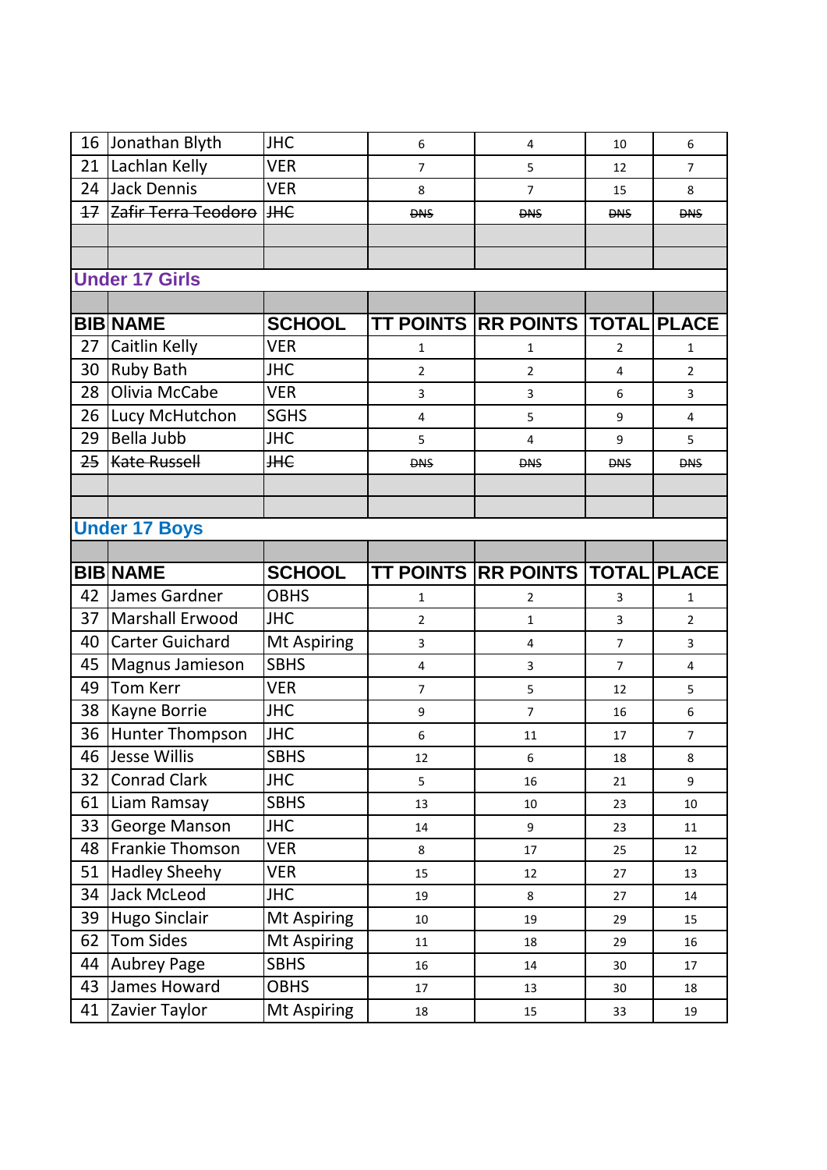| 16       | Jonathan Blyth                | <b>JHC</b>                 | 6                | 4                          | 10             | 6              |  |  |
|----------|-------------------------------|----------------------------|------------------|----------------------------|----------------|----------------|--|--|
| 21       | Lachlan Kelly                 | <b>VER</b>                 | $\overline{7}$   | 5                          | 12             | $\overline{7}$ |  |  |
| 24       | Jack Dennis                   | <b>VER</b>                 | 8                | 7                          | 15             | 8              |  |  |
| $+7$     | Zafir Terra Teodoro           | <b>HHE</b>                 | <b>DNS</b>       | <b>DNS</b>                 | <b>DNS</b>     | <b>DNS</b>     |  |  |
|          |                               |                            |                  |                            |                |                |  |  |
|          |                               |                            |                  |                            |                |                |  |  |
|          | <b>Under 17 Girls</b>         |                            |                  |                            |                |                |  |  |
|          |                               |                            |                  |                            |                |                |  |  |
|          | <b>BIBINAME</b>               | <b>SCHOOL</b>              |                  | <b>TT POINTS RR POINTS</b> | <b>TOTAL</b>   | <b>PLACE</b>   |  |  |
| 27       | Caitlin Kelly                 | <b>VER</b>                 | 1                | 1                          | $\overline{2}$ | 1              |  |  |
| 30       | <b>Ruby Bath</b>              | <b>JHC</b>                 | 2                | 2                          | 4              | $\overline{2}$ |  |  |
| 28       | Olivia McCabe                 | <b>VER</b>                 | 3                | 3                          | 6              | 3              |  |  |
| 26       | Lucy McHutchon                | <b>SGHS</b>                | 4                | 5                          | 9              | 4              |  |  |
| 29       | Bella Jubb                    | <b>JHC</b>                 | 5                | 4                          | 9              | 5.             |  |  |
| 25       | <b>Kate Russell</b>           | <b>HHE</b>                 | <b>DNS</b>       | <b>DNS</b>                 | <b>DNS</b>     | <b>DNS</b>     |  |  |
|          |                               |                            |                  |                            |                |                |  |  |
|          |                               |                            |                  |                            |                |                |  |  |
|          | <b>Under 17 Boys</b>          |                            |                  |                            |                |                |  |  |
|          |                               |                            |                  |                            |                |                |  |  |
|          | <b>BIB NAME</b>               | <b>SCHOOL</b>              |                  | <b>TT POINTS RR POINTS</b> | <b>TOTAL</b>   | <b>PLACE</b>   |  |  |
| 42       | James Gardner                 | <b>OBHS</b>                | 1                | 2                          | 3              | $\mathbf{1}$   |  |  |
| 37       | Marshall Erwood               | <b>JHC</b>                 | $\overline{2}$   | $\mathbf{1}$               | 3              | $\overline{2}$ |  |  |
| 40       | <b>Carter Guichard</b>        | Mt Aspiring                | 3                | $\overline{4}$             | $\overline{7}$ | 3              |  |  |
| 45       | Magnus Jamieson               | <b>SBHS</b>                | $\overline{4}$   | 3                          | $\overline{7}$ | $\overline{4}$ |  |  |
| 49       | <b>Tom Kerr</b>               | <b>VER</b>                 | $\overline{7}$   | 5                          | 12             | 5              |  |  |
| 38       | Kayne Borrie                  | <b>JHC</b>                 | 9                | 7                          | 16             | 6              |  |  |
| 36       | Hunter Thompson               | <b>JHC</b>                 | $\boldsymbol{6}$ | 11                         | 17             | $\overline{7}$ |  |  |
| 46       | Jesse Willis                  | <b>SBHS</b>                | 12               | 6                          |                | 8              |  |  |
| 32       |                               |                            |                  |                            | 18             |                |  |  |
|          | <b>Conrad Clark</b>           | <b>JHC</b>                 | 5                | 16                         | 21             | 9              |  |  |
| 61       | Liam Ramsay                   | <b>SBHS</b>                | 13               | 10                         | 23             | 10             |  |  |
| 33       | George Manson                 | <b>JHC</b>                 | 14               | 9                          | 23             | 11             |  |  |
| 48       | Frankie Thomson               | VER                        | 8                | 17                         | 25             | 12             |  |  |
| 51       | <b>Hadley Sheehy</b>          | VER                        | 15               | 12                         | 27             | 13             |  |  |
| 34       | <b>Jack McLeod</b>            | <b>JHC</b>                 | 19               | 8                          | 27             | 14             |  |  |
| 39       | <b>Hugo Sinclair</b>          | Mt Aspiring                | 10               | 19                         | 29             | 15             |  |  |
| 62       | <b>Tom Sides</b>              | Mt Aspiring                | 11               | 18                         | 29             | 16             |  |  |
| 44       | <b>Aubrey Page</b>            | <b>SBHS</b>                | 16               | 14                         | 30             | 17             |  |  |
| 43<br>41 | James Howard<br>Zavier Taylor | <b>OBHS</b><br>Mt Aspiring | 17               | 13                         | 30             | 18             |  |  |